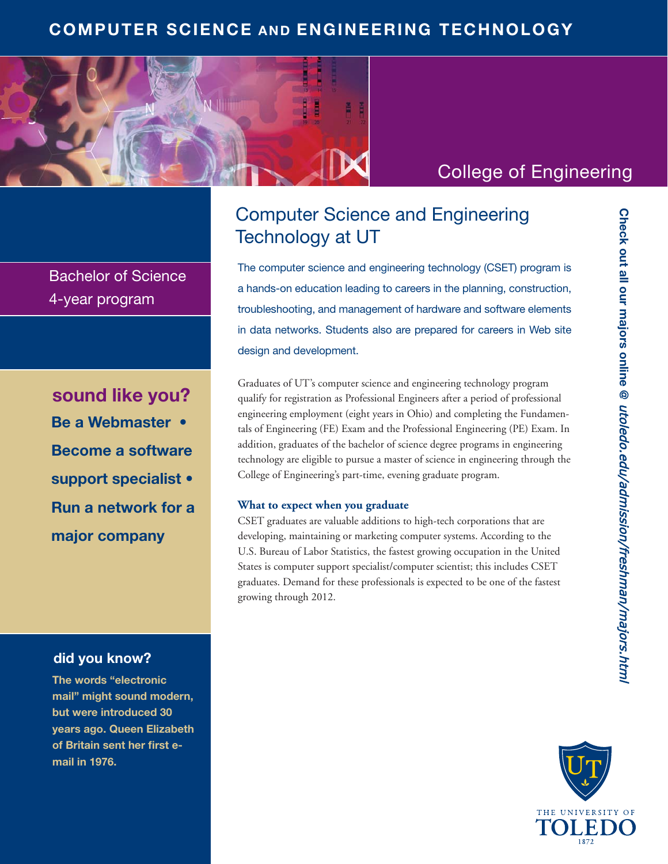## **COMPUTER SCIENCE AND ENGINEERING TECHNOLOGY**



# College of Engineering

Bachelor of Science 4-year program

**Be a Webmaster • Become a software support specialist • Run a network for a major company sound like you?**

### **did you know?**

**The words "electronic mail" might sound modern, but were introduced 30 years ago. Queen Elizabeth**  of Britain sent her first e**mail in 1976.**

# Computer Science and Engineering Technology at UT

The computer science and engineering technology (CSET) program is a hands-on education leading to careers in the planning, construction, troubleshooting, and management of hardware and software elements in data networks. Students also are prepared for careers in Web site design and development.

Graduates of UT's computer science and engineering technology program qualify for registration as Professional Engineers after a period of professional engineering employment (eight years in Ohio) and completing the Fundamentals of Engineering (FE) Exam and the Professional Engineering (PE) Exam. In addition, graduates of the bachelor of science degree programs in engineering technology are eligible to pursue a master of science in engineering through the College of Engineering's part-time, evening graduate program.

#### **What to expect when you graduate**

CSET graduates are valuable additions to high-tech corporations that are developing, maintaining or marketing computer systems. According to the U.S. Bureau of Labor Statistics, the fastest growing occupation in the United States is computer support specialist/computer scientist; this includes CSET graduates. Demand for these professionals is expected to be one of the fastest growing through 2012.